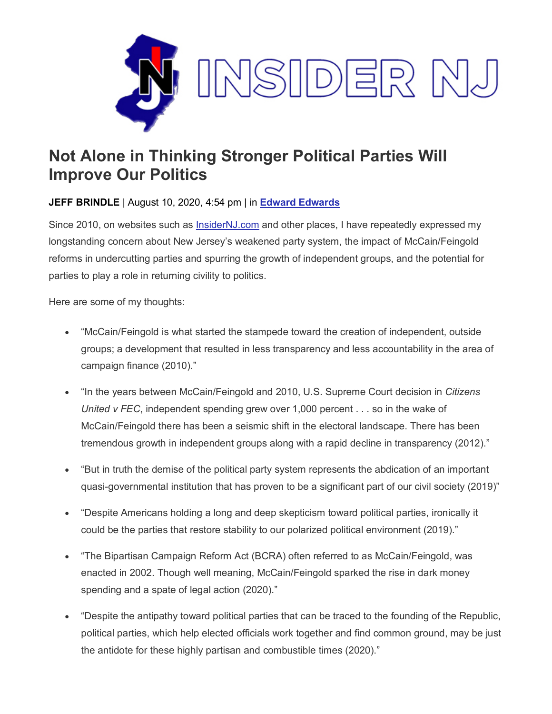

## **Not Alone in Thinking Stronger Political Parties Will Improve Our Politics**

## **JEFF BRINDLE** | August 10, 2020, 4:54 pm | in **[Edward Edwards](https://www.insidernj.com/category/edward-edwards/)**

Since 2010, on websites such as [InsiderNJ.com](http://insidernj.com/) and other places, I have repeatedly expressed my longstanding concern about New Jersey's weakened party system, the impact of McCain/Feingold reforms in undercutting parties and spurring the growth of independent groups, and the potential for parties to play a role in returning civility to politics.

Here are some of my thoughts:

- "McCain/Feingold is what started the stampede toward the creation of independent, outside groups; a development that resulted in less transparency and less accountability in the area of campaign finance (2010)."
- "In the years between McCain/Feingold and 2010, U.S. Supreme Court decision in *Citizens United v FEC*, independent spending grew over 1,000 percent . . . so in the wake of McCain/Feingold there has been a seismic shift in the electoral landscape. There has been tremendous growth in independent groups along with a rapid decline in transparency (2012)."
- "But in truth the demise of the political party system represents the abdication of an important quasi-governmental institution that has proven to be a significant part of our civil society (2019)"
- "Despite Americans holding a long and deep skepticism toward political parties, ironically it could be the parties that restore stability to our polarized political environment (2019)."
- "The Bipartisan Campaign Reform Act (BCRA) often referred to as McCain/Feingold, was enacted in 2002. Though well meaning, McCain/Feingold sparked the rise in dark money spending and a spate of legal action (2020)."
- "Despite the antipathy toward political parties that can be traced to the founding of the Republic, political parties, which help elected officials work together and find common ground, may be just the antidote for these highly partisan and combustible times (2020)."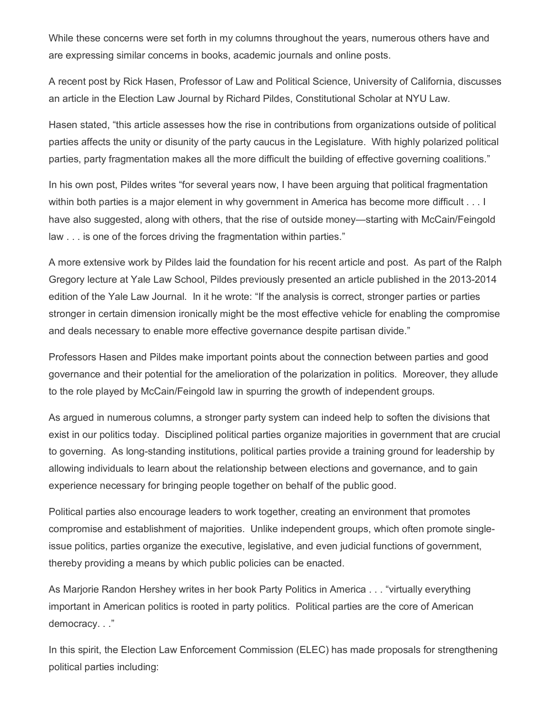While these concerns were set forth in my columns throughout the years, numerous others have and are expressing similar concerns in books, academic journals and online posts.

A recent post by Rick Hasen, Professor of Law and Political Science, University of California, discusses an article in the Election Law Journal by Richard Pildes, Constitutional Scholar at NYU Law.

Hasen stated, "this article assesses how the rise in contributions from organizations outside of political parties affects the unity or disunity of the party caucus in the Legislature. With highly polarized political parties, party fragmentation makes all the more difficult the building of effective governing coalitions."

In his own post, Pildes writes "for several years now, I have been arguing that political fragmentation within both parties is a major element in why government in America has become more difficult . . . I have also suggested, along with others, that the rise of outside money—starting with McCain/Feingold law . . . is one of the forces driving the fragmentation within parties."

A more extensive work by Pildes laid the foundation for his recent article and post. As part of the Ralph Gregory lecture at Yale Law School, Pildes previously presented an article published in the 2013-2014 edition of the Yale Law Journal. In it he wrote: "If the analysis is correct, stronger parties or parties stronger in certain dimension ironically might be the most effective vehicle for enabling the compromise and deals necessary to enable more effective governance despite partisan divide."

Professors Hasen and Pildes make important points about the connection between parties and good governance and their potential for the amelioration of the polarization in politics. Moreover, they allude to the role played by McCain/Feingold law in spurring the growth of independent groups.

As argued in numerous columns, a stronger party system can indeed help to soften the divisions that exist in our politics today. Disciplined political parties organize majorities in government that are crucial to governing. As long-standing institutions, political parties provide a training ground for leadership by allowing individuals to learn about the relationship between elections and governance, and to gain experience necessary for bringing people together on behalf of the public good.

Political parties also encourage leaders to work together, creating an environment that promotes compromise and establishment of majorities. Unlike independent groups, which often promote singleissue politics, parties organize the executive, legislative, and even judicial functions of government, thereby providing a means by which public policies can be enacted.

As Marjorie Randon Hershey writes in her book Party Politics in America . . . "virtually everything important in American politics is rooted in party politics. Political parties are the core of American democracy. . ."

In this spirit, the Election Law Enforcement Commission (ELEC) has made proposals for strengthening political parties including: